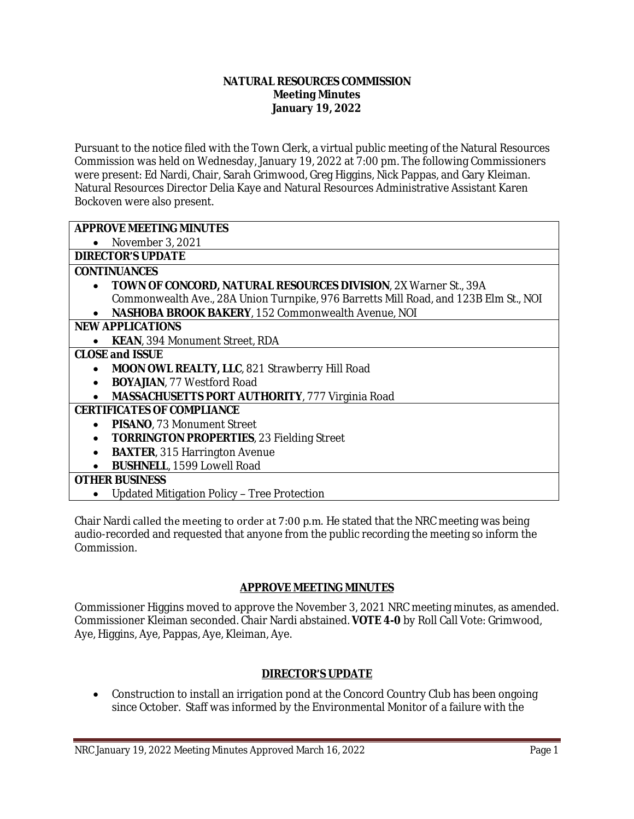#### **NATURAL RESOURCES COMMISSION Meeting Minutes January 19, 2022**

Pursuant to the notice filed with the Town Clerk, a virtual public meeting of the Natural Resources Commission was held on Wednesday, January 19, 2022 at 7:00 pm. The following Commissioners were present: Ed Nardi, Chair, Sarah Grimwood, Greg Higgins, Nick Pappas, and Gary Kleiman. Natural Resources Director Delia Kaye and Natural Resources Administrative Assistant Karen Bockoven were also present.

# **APPROVE MEETING MINUTES**

• November 3, 2021

## **DIRECTOR'S UPDATE**

#### **CONTINUANCES**

- **TOWN OF CONCORD, NATURAL RESOURCES DIVISION**, 2X Warner St., 39A Commonwealth Ave., 28A Union Turnpike, 976 Barretts Mill Road, and 123B Elm St., NOI
- **NASHOBA BROOK BAKERY**, 152 Commonwealth Avenue, NOI

## **NEW APPLICATIONS**

**KEAN**, 394 Monument Street, RDA

## **CLOSE and ISSUE**

- MOON OWL REALTY, LLC, 821 Strawberry Hill Road
- **BOYAJIAN**, 77 Westford Road
- **MASSACHUSETTS PORT AUTHORITY**, 777 Virginia Road

## **CERTIFICATES OF COMPLIANCE**

- **PISANO**, 73 Monument Street
- **TORRINGTON PROPERTIES, 23 Fielding Street**
- **BAXTER**, 315 Harrington Avenue
- **BUSHNELL**, 1599 Lowell Road

## **OTHER BUSINESS**

Updated Mitigation Policy – Tree Protection

Chair Nardi called the meeting to order at 7:00 p.m. He stated that the NRC meeting was being audio-recorded and requested that anyone from the public recording the meeting so inform the Commission.

## **APPROVE MEETING MINUTES**

Commissioner Higgins moved to approve the November 3, 2021 NRC meeting minutes, as amended. Commissioner Kleiman seconded. Chair Nardi abstained. **VOTE 4-0** by Roll Call Vote: Grimwood, Aye, Higgins, Aye, Pappas, Aye, Kleiman, Aye.

## **DIRECTOR'S UPDATE**

• Construction to install an irrigation pond at the Concord Country Club has been ongoing since October. Staff was informed by the Environmental Monitor of a failure with the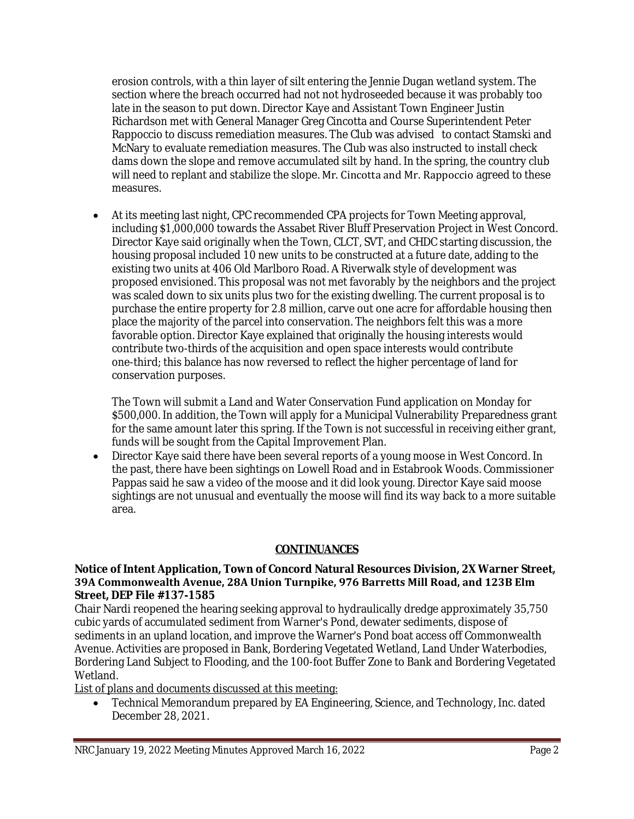erosion controls, with a thin layer of silt entering the Jennie Dugan wetland system. The section where the breach occurred had not not hydroseeded because it was probably too late in the season to put down. Director Kaye and Assistant Town Engineer Justin Richardson met with General Manager Greg Cincotta and Course Superintendent Peter Rappoccio to discuss remediation measures. The Club was advised to contact Stamski and McNary to evaluate remediation measures. The Club was also instructed to install check dams down the slope and remove accumulated silt by hand. In the spring, the country club will need to replant and stabilize the slope. Mr. Cincotta and Mr. Rappoccio agreed to these measures.

 At its meeting last night, CPC recommended CPA projects for Town Meeting approval, including \$1,000,000 towards the Assabet River Bluff Preservation Project in West Concord. Director Kaye said originally when the Town, CLCT, SVT, and CHDC starting discussion, the housing proposal included 10 new units to be constructed at a future date, adding to the existing two units at 406 Old Marlboro Road. A Riverwalk style of development was proposed envisioned. This proposal was not met favorably by the neighbors and the project was scaled down to six units plus two for the existing dwelling. The current proposal is to purchase the entire property for 2.8 million, carve out one acre for affordable housing then place the majority of the parcel into conservation. The neighbors felt this was a more favorable option. Director Kaye explained that originally the housing interests would contribute two-thirds of the acquisition and open space interests would contribute one-third; this balance has now reversed to reflect the higher percentage of land for conservation purposes.

The Town will submit a Land and Water Conservation Fund application on Monday for \$500,000. In addition, the Town will apply for a Municipal Vulnerability Preparedness grant for the same amount later this spring. If the Town is not successful in receiving either grant, funds will be sought from the Capital Improvement Plan.

 Director Kaye said there have been several reports of a young moose in West Concord. In the past, there have been sightings on Lowell Road and in Estabrook Woods. Commissioner Pappas said he saw a video of the moose and it did look young. Director Kaye said moose sightings are not unusual and eventually the moose will find its way back to a more suitable area.

## **CONTINUANCES**

#### **Notice of Intent Application, Town of Concord Natural Resources Division, 2X Warner Street, 39A Commonwealth Avenue, 28A Union Turnpike, 976 Barretts Mill Road, and 123B Elm Street, DEP File #137-1585**

Chair Nardi reopened the hearing seeking approval to hydraulically dredge approximately 35,750 cubic yards of accumulated sediment from Warner's Pond, dewater sediments, dispose of sediments in an upland location, and improve the Warner's Pond boat access off Commonwealth Avenue. Activities are proposed in Bank, Bordering Vegetated Wetland, Land Under Waterbodies, Bordering Land Subject to Flooding, and the 100-foot Buffer Zone to Bank and Bordering Vegetated Wetland.

List of plans and documents discussed at this meeting:

 Technical Memorandum prepared by EA Engineering, Science, and Technology, Inc. dated December 28, 2021.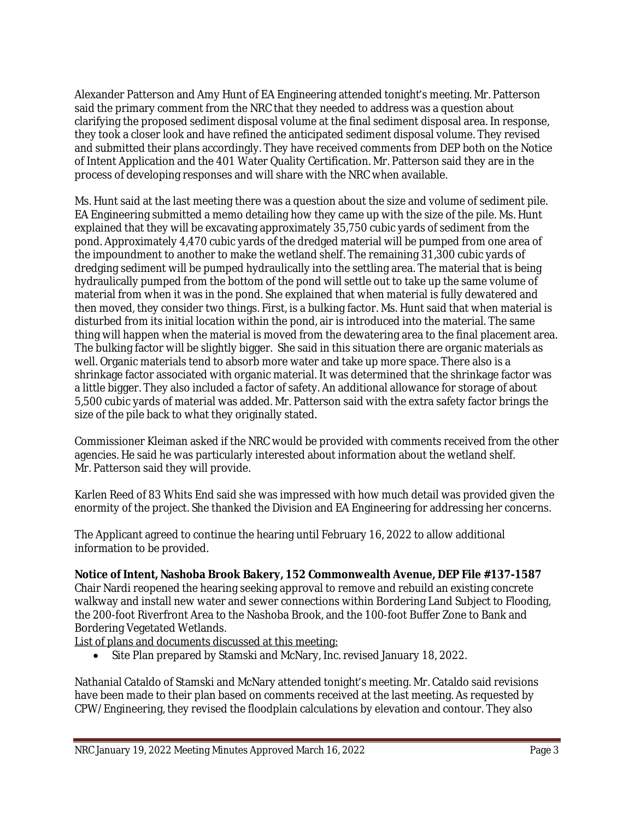Alexander Patterson and Amy Hunt of EA Engineering attended tonight's meeting. Mr. Patterson said the primary comment from the NRC that they needed to address was a question about clarifying the proposed sediment disposal volume at the final sediment disposal area. In response, they took a closer look and have refined the anticipated sediment disposal volume. They revised and submitted their plans accordingly. They have received comments from DEP both on the Notice of Intent Application and the 401 Water Quality Certification. Mr. Patterson said they are in the process of developing responses and will share with the NRC when available.

Ms. Hunt said at the last meeting there was a question about the size and volume of sediment pile. EA Engineering submitted a memo detailing how they came up with the size of the pile. Ms. Hunt explained that they will be excavating approximately 35,750 cubic yards of sediment from the pond. Approximately 4,470 cubic yards of the dredged material will be pumped from one area of the impoundment to another to make the wetland shelf. The remaining 31,300 cubic yards of dredging sediment will be pumped hydraulically into the settling area. The material that is being hydraulically pumped from the bottom of the pond will settle out to take up the same volume of material from when it was in the pond. She explained that when material is fully dewatered and then moved, they consider two things. First, is a bulking factor. Ms. Hunt said that when material is disturbed from its initial location within the pond, air is introduced into the material. The same thing will happen when the material is moved from the dewatering area to the final placement area. The bulking factor will be slightly bigger. She said in this situation there are organic materials as well. Organic materials tend to absorb more water and take up more space. There also is a shrinkage factor associated with organic material. It was determined that the shrinkage factor was a little bigger. They also included a factor of safety. An additional allowance for storage of about 5,500 cubic yards of material was added. Mr. Patterson said with the extra safety factor brings the size of the pile back to what they originally stated.

Commissioner Kleiman asked if the NRC would be provided with comments received from the other agencies. He said he was particularly interested about information about the wetland shelf. Mr. Patterson said they will provide.

Karlen Reed of 83 Whits End said she was impressed with how much detail was provided given the enormity of the project. She thanked the Division and EA Engineering for addressing her concerns.

The Applicant agreed to continue the hearing until February 16, 2022 to allow additional information to be provided.

## **Notice of Intent, Nashoba Brook Bakery, 152 Commonwealth Avenue, DEP File #137-1587**

Chair Nardi reopened the hearing seeking approval to remove and rebuild an existing concrete walkway and install new water and sewer connections within Bordering Land Subject to Flooding, the 200-foot Riverfront Area to the Nashoba Brook, and the 100-foot Buffer Zone to Bank and Bordering Vegetated Wetlands.

List of plans and documents discussed at this meeting:

Site Plan prepared by Stamski and McNary, Inc. revised January 18, 2022.

Nathanial Cataldo of Stamski and McNary attended tonight's meeting. Mr. Cataldo said revisions have been made to their plan based on comments received at the last meeting. As requested by CPW/Engineering, they revised the floodplain calculations by elevation and contour. They also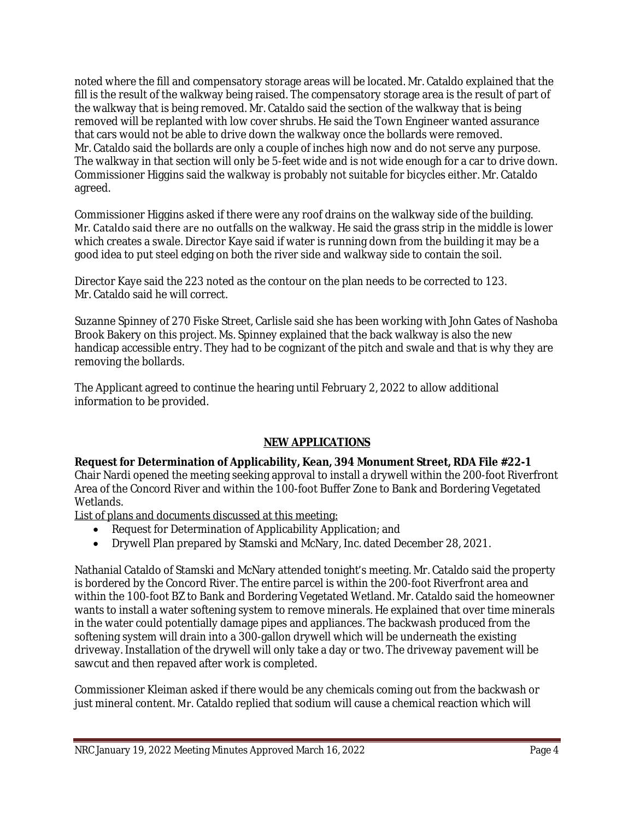noted where the fill and compensatory storage areas will be located. Mr. Cataldo explained that the fill is the result of the walkway being raised. The compensatory storage area is the result of part of the walkway that is being removed. Mr. Cataldo said the section of the walkway that is being removed will be replanted with low cover shrubs. He said the Town Engineer wanted assurance that cars would not be able to drive down the walkway once the bollards were removed. Mr. Cataldo said the bollards are only a couple of inches high now and do not serve any purpose. The walkway in that section will only be 5-feet wide and is not wide enough for a car to drive down. Commissioner Higgins said the walkway is probably not suitable for bicycles either. Mr. Cataldo agreed.

Commissioner Higgins asked if there were any roof drains on the walkway side of the building. Mr. Cataldo said there are no outfalls on the walkway. He said the grass strip in the middle is lower which creates a swale. Director Kaye said if water is running down from the building it may be a good idea to put steel edging on both the river side and walkway side to contain the soil.

Director Kaye said the 223 noted as the contour on the plan needs to be corrected to 123. Mr. Cataldo said he will correct.

Suzanne Spinney of 270 Fiske Street, Carlisle said she has been working with John Gates of Nashoba Brook Bakery on this project. Ms. Spinney explained that the back walkway is also the new handicap accessible entry. They had to be cognizant of the pitch and swale and that is why they are removing the bollards.

The Applicant agreed to continue the hearing until February 2, 2022 to allow additional information to be provided.

## **NEW APPLICATIONS**

**Request for Determination of Applicability, Kean, 394 Monument Street, RDA File #22-1** Chair Nardi opened the meeting seeking approval to install a drywell within the 200-foot Riverfront Area of the Concord River and within the 100-foot Buffer Zone to Bank and Bordering Vegetated Wetlands.

List of plans and documents discussed at this meeting:

- Request for Determination of Applicability Application; and
- Drywell Plan prepared by Stamski and McNary, Inc. dated December 28, 2021.

Nathanial Cataldo of Stamski and McNary attended tonight's meeting. Mr. Cataldo said the property is bordered by the Concord River. The entire parcel is within the 200-foot Riverfront area and within the 100-foot BZ to Bank and Bordering Vegetated Wetland. Mr. Cataldo said the homeowner wants to install a water softening system to remove minerals. He explained that over time minerals in the water could potentially damage pipes and appliances. The backwash produced from the softening system will drain into a 300-gallon drywell which will be underneath the existing driveway. Installation of the drywell will only take a day or two. The driveway pavement will be sawcut and then repaved after work is completed.

Commissioner Kleiman asked if there would be any chemicals coming out from the backwash or just mineral content. Mr. Cataldo replied that sodium will cause a chemical reaction which will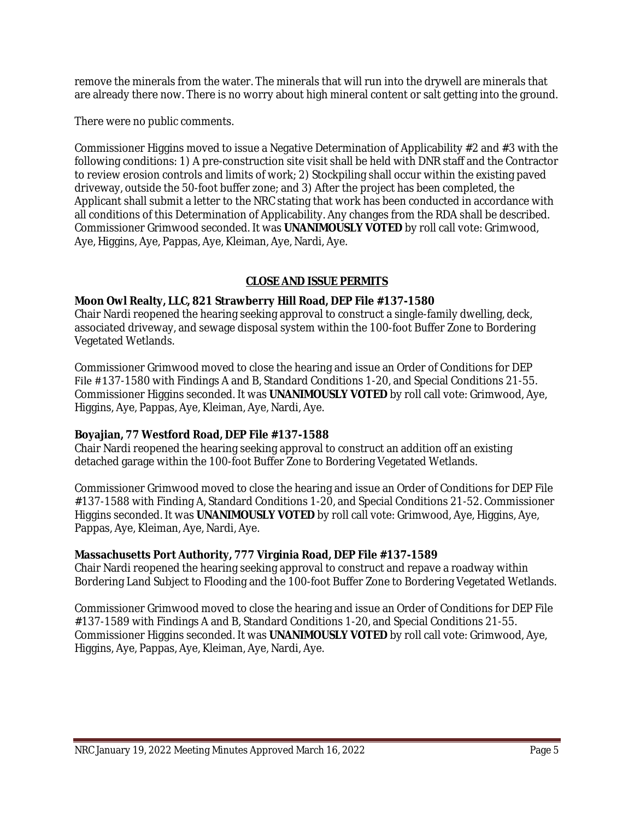remove the minerals from the water. The minerals that will run into the drywell are minerals that are already there now. There is no worry about high mineral content or salt getting into the ground.

There were no public comments.

Commissioner Higgins moved to issue a Negative Determination of Applicability #2 and #3 with the following conditions: 1) A pre-construction site visit shall be held with DNR staff and the Contractor to review erosion controls and limits of work; 2) Stockpiling shall occur within the existing paved driveway, outside the 50-foot buffer zone; and 3) After the project has been completed, the Applicant shall submit a letter to the NRC stating that work has been conducted in accordance with all conditions of this Determination of Applicability. Any changes from the RDA shall be described. Commissioner Grimwood seconded. It was **UNANIMOUSLY VOTED** by roll call vote: Grimwood, Aye, Higgins, Aye, Pappas, Aye, Kleiman, Aye, Nardi, Aye.

## **CLOSE AND ISSUE PERMITS**

## **Moon Owl Realty, LLC, 821 Strawberry Hill Road, DEP File #137-1580**

Chair Nardi reopened the hearing seeking approval to construct a single-family dwelling, deck, associated driveway, and sewage disposal system within the 100-foot Buffer Zone to Bordering Vegetated Wetlands.

Commissioner Grimwood moved to close the hearing and issue an Order of Conditions for DEP File #137-1580 with Findings A and B, Standard Conditions 1-20, and Special Conditions 21-55. Commissioner Higgins seconded. It was **UNANIMOUSLY VOTED** by roll call vote: Grimwood, Aye, Higgins, Aye, Pappas, Aye, Kleiman, Aye, Nardi, Aye.

## **Boyajian, 77 Westford Road, DEP File #137-1588**

Chair Nardi reopened the hearing seeking approval to construct an addition off an existing detached garage within the 100-foot Buffer Zone to Bordering Vegetated Wetlands.

Commissioner Grimwood moved to close the hearing and issue an Order of Conditions for DEP File #137-1588 with Finding A, Standard Conditions 1-20, and Special Conditions 21-52. Commissioner Higgins seconded. It was **UNANIMOUSLY VOTED** by roll call vote: Grimwood, Aye, Higgins, Aye, Pappas, Aye, Kleiman, Aye, Nardi, Aye.

## **Massachusetts Port Authority, 777 Virginia Road, DEP File #137-1589**

Chair Nardi reopened the hearing seeking approval to construct and repave a roadway within Bordering Land Subject to Flooding and the 100-foot Buffer Zone to Bordering Vegetated Wetlands.

Commissioner Grimwood moved to close the hearing and issue an Order of Conditions for DEP File #137-1589 with Findings A and B, Standard Conditions 1-20, and Special Conditions 21-55. Commissioner Higgins seconded. It was **UNANIMOUSLY VOTED** by roll call vote: Grimwood, Aye, Higgins, Aye, Pappas, Aye, Kleiman, Aye, Nardi, Aye.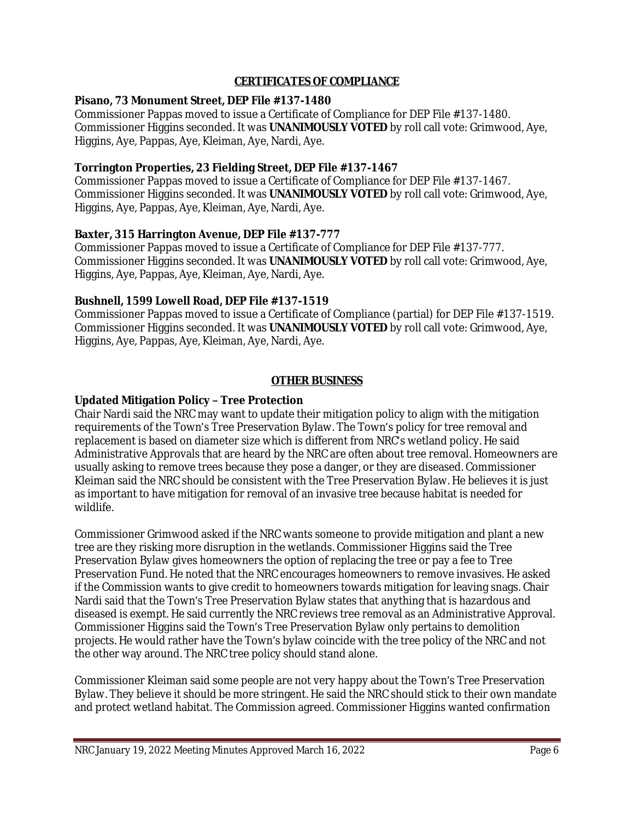## **CERTIFICATES OF COMPLIANCE**

## **Pisano, 73 Monument Street, DEP File #137-1480**

Commissioner Pappas moved to issue a Certificate of Compliance for DEP File #137-1480. Commissioner Higgins seconded. It was **UNANIMOUSLY VOTED** by roll call vote: Grimwood, Aye, Higgins, Aye, Pappas, Aye, Kleiman, Aye, Nardi, Aye.

## **Torrington Properties, 23 Fielding Street, DEP File #137-1467**

Commissioner Pappas moved to issue a Certificate of Compliance for DEP File #137-1467. Commissioner Higgins seconded. It was **UNANIMOUSLY VOTED** by roll call vote: Grimwood, Aye, Higgins, Aye, Pappas, Aye, Kleiman, Aye, Nardi, Aye.

#### **Baxter, 315 Harrington Avenue, DEP File #137-777**

Commissioner Pappas moved to issue a Certificate of Compliance for DEP File #137-777. Commissioner Higgins seconded. It was **UNANIMOUSLY VOTED** by roll call vote: Grimwood, Aye, Higgins, Aye, Pappas, Aye, Kleiman, Aye, Nardi, Aye.

#### **Bushnell, 1599 Lowell Road, DEP File #137-1519**

Commissioner Pappas moved to issue a Certificate of Compliance (partial) for DEP File #137-1519. Commissioner Higgins seconded. It was **UNANIMOUSLY VOTED** by roll call vote: Grimwood, Aye, Higgins, Aye, Pappas, Aye, Kleiman, Aye, Nardi, Aye.

#### **OTHER BUSINESS**

## **Updated Mitigation Policy – Tree Protection**

Chair Nardi said the NRC may want to update their mitigation policy to align with the mitigation requirements of the Town's Tree Preservation Bylaw. The Town's policy for tree removal and replacement is based on diameter size which is different from NRC's wetland policy. He said Administrative Approvals that are heard by the NRC are often about tree removal. Homeowners are usually asking to remove trees because they pose a danger, or they are diseased. Commissioner Kleiman said the NRC should be consistent with the Tree Preservation Bylaw. He believes it is just as important to have mitigation for removal of an invasive tree because habitat is needed for wildlife.

Commissioner Grimwood asked if the NRC wants someone to provide mitigation and plant a new tree are they risking more disruption in the wetlands. Commissioner Higgins said the Tree Preservation Bylaw gives homeowners the option of replacing the tree or pay a fee to Tree Preservation Fund. He noted that the NRC encourages homeowners to remove invasives. He asked if the Commission wants to give credit to homeowners towards mitigation for leaving snags. Chair Nardi said that the Town's Tree Preservation Bylaw states that anything that is hazardous and diseased is exempt. He said currently the NRC reviews tree removal as an Administrative Approval. Commissioner Higgins said the Town's Tree Preservation Bylaw only pertains to demolition projects. He would rather have the Town's bylaw coincide with the tree policy of the NRC and not the other way around. The NRC tree policy should stand alone.

Commissioner Kleiman said some people are not very happy about the Town's Tree Preservation Bylaw. They believe it should be more stringent. He said the NRC should stick to their own mandate and protect wetland habitat. The Commission agreed. Commissioner Higgins wanted confirmation